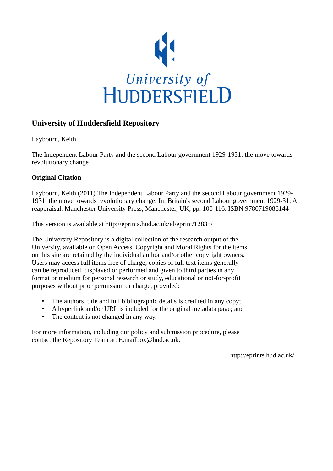

## **University of Huddersfield Repository**

Laybourn, Keith

The Independent Labour Party and the second Labour government 1929-1931: the move towards revolutionary change

## **Original Citation**

Laybourn, Keith (2011) The Independent Labour Party and the second Labour government 1929- 1931: the move towards revolutionary change. In: Britain's second Labour government 1929-31: A reappraisal. Manchester University Press, Manchester, UK, pp. 100-116. ISBN 9780719086144

This version is available at http://eprints.hud.ac.uk/id/eprint/12835/

The University Repository is a digital collection of the research output of the University, available on Open Access. Copyright and Moral Rights for the items on this site are retained by the individual author and/or other copyright owners. Users may access full items free of charge; copies of full text items generally can be reproduced, displayed or performed and given to third parties in any format or medium for personal research or study, educational or not-for-profit purposes without prior permission or charge, provided:

- The authors, title and full bibliographic details is credited in any copy;
- A hyperlink and/or URL is included for the original metadata page; and
- The content is not changed in any way.

For more information, including our policy and submission procedure, please contact the Repository Team at: E.mailbox@hud.ac.uk.

http://eprints.hud.ac.uk/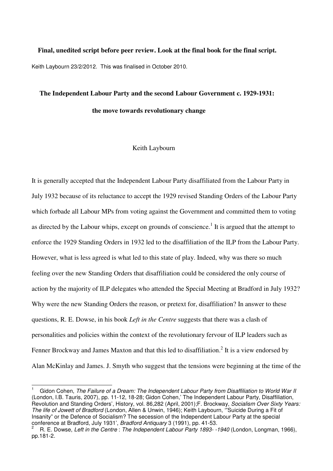## **Final, unedited script before peer review. Look at the final book for the final script.**  Keith Laybourn 23/2/2012. This was finalised in October 2010.

# **The Independent Labour Party and the second Labour Government c. 1929-1931: the move towards revolutionary change**

### Keith Laybourn

It is generally accepted that the Independent Labour Party disaffiliated from the Labour Party in July 1932 because of its reluctance to accept the 1929 revised Standing Orders of the Labour Party which forbade all Labour MPs from voting against the Government and committed them to voting as directed by the Labour whips, except on grounds of conscience.<sup>1</sup> It is argued that the attempt to enforce the 1929 Standing Orders in 1932 led to the disaffiliation of the ILP from the Labour Party. However, what is less agreed is what led to this state of play. Indeed, why was there so much feeling over the new Standing Orders that disaffiliation could be considered the only course of action by the majority of ILP delegates who attended the Special Meeting at Bradford in July 1932? Why were the new Standing Orders the reason, or pretext for, disaffiliation? In answer to these questions, R. E. Dowse, in his book *Left in the Centre* suggests that there was a clash of personalities and policies within the context of the revolutionary fervour of ILP leaders such as Fenner Brockway and James Maxton and that this led to disaffiliation.<sup>2</sup> It is a view endorsed by Alan McKinlay and James. J. Smyth who suggest that the tensions were beginning at the time of the

 $\overline{\phantom{a}}$ 

<sup>1</sup> Gidon Cohen, The Failure of a Dream: The Independent Labour Party from Disaffiliation to World War II (London, I.B. Tauris, 2007), pp. 11-12, 18-28; Gidon Cohen,' The Independent Labour Party, Disaffiliation, Revolution and Standing Orders', History, vol. 86,282 (April, 2001);F. Brockway, Socialism Over Sixty Years: The life of Jowett of Bradford (London, Allen & Unwin, 1946); Keith Laybourn, "Suicide During a Fit of Insanity" or the Defence of Socialism? The secession of the Independent Labour Party at the special conference at Bradford, July 1931', Bradford Antiquary 3 (1991), pp. 41-53.

<sup>2</sup> R. E. Dowse, Left in the Centre : The Independent Labour Party 1893- -1940 (London, Longman, 1966), pp.181-2.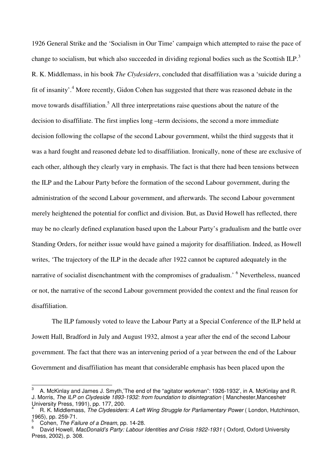1926 General Strike and the 'Socialism in Our Time' campaign which attempted to raise the pace of change to socialism, but which also succeeded in dividing regional bodies such as the Scottish ILP.<sup>3</sup> R. K. Middlemass, in his book *The Clydesiders*, concluded that disaffiliation was a 'suicide during a fit of insanity'.<sup>4</sup> More recently, Gidon Cohen has suggested that there was reasoned debate in the move towards disaffiliation.<sup>5</sup> All three interpretations raise questions about the nature of the decision to disaffiliate. The first implies long –term decisions, the second a more immediate decision following the collapse of the second Labour government, whilst the third suggests that it was a hard fought and reasoned debate led to disaffiliation. Ironically, none of these are exclusive of each other, although they clearly vary in emphasis. The fact is that there had been tensions between the ILP and the Labour Party before the formation of the second Labour government, during the administration of the second Labour government, and afterwards. The second Labour government merely heightened the potential for conflict and division. But, as David Howell has reflected, there may be no clearly defined explanation based upon the Labour Party's gradualism and the battle over Standing Orders, for neither issue would have gained a majority for disaffiliation. Indeed, as Howell writes, 'The trajectory of the ILP in the decade after 1922 cannot be captured adequately in the narrative of socialist disenchantment with the compromises of gradualism.<sup>' 6</sup> Nevertheless, nuanced or not, the narrative of the second Labour government provided the context and the final reason for disaffiliation.

The ILP famously voted to leave the Labour Party at a Special Conference of the ILP held at Jowett Hall, Bradford in July and August 1932, almost a year after the end of the second Labour government. The fact that there was an intervening period of a year between the end of the Labour Government and disaffiliation has meant that considerable emphasis has been placed upon the

 $\overline{a}$ 

<sup>3</sup> A. McKinlay and James J. Smyth,'The end of the "agitator workman": 1926-1932', in A. McKinlay and R. J. Morris, The ILP on Clydeside 1893-1932: from foundation to disintegration (Manchester, Manceshetr University Press, 1991), pp. 177, 200.

<sup>4</sup> R. K. Middlemass, The Clydesiders: A Left Wing Struggle for Parliamentary Power ( London, Hutchinson, 1965), pp. 259-71.

<sup>5</sup> Cohen, The Failure of a Dream, pp. 14-28.

<sup>6</sup> David Howell, MacDonald's Party: Labour Identities and Crisis 1922-1931 ( Oxford, Oxford University Press, 2002), p. 308.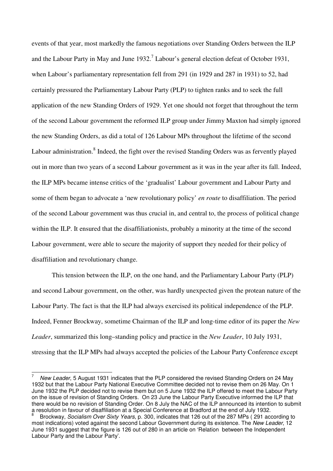events of that year, most markedly the famous negotiations over Standing Orders between the ILP and the Labour Party in May and June  $1932$ .<sup>7</sup> Labour's general election defeat of October 1931, when Labour's parliamentary representation fell from 291 (in 1929 and 287 in 1931) to 52, had certainly pressured the Parliamentary Labour Party (PLP) to tighten ranks and to seek the full application of the new Standing Orders of 1929. Yet one should not forget that throughout the term of the second Labour government the reformed ILP group under Jimmy Maxton had simply ignored the new Standing Orders, as did a total of 126 Labour MPs throughout the lifetime of the second Labour administration.<sup>8</sup> Indeed, the fight over the revised Standing Orders was as fervently played out in more than two years of a second Labour government as it was in the year after its fall. Indeed, the ILP MPs became intense critics of the 'gradualist' Labour government and Labour Party and some of them began to advocate a 'new revolutionary policy' *en route* to disaffiliation. The period of the second Labour government was thus crucial in, and central to, the process of political change within the ILP. It ensured that the disaffiliationists, probably a minority at the time of the second Labour government, were able to secure the majority of support they needed for their policy of disaffiliation and revolutionary change.

 This tension between the ILP, on the one hand, and the Parliamentary Labour Party (PLP) and second Labour government, on the other, was hardly unexpected given the protean nature of the Labour Party. The fact is that the ILP had always exercised its political independence of the PLP. Indeed, Fenner Brockway, sometime Chairman of the ILP and long-time editor of its paper the *New Leader*, summarized this long–standing policy and practice in the *New Leader*, 10 July 1931, stressing that the ILP MPs had always accepted the policies of the Labour Party Conference except

 $\overline{a}$ 

<sup>7</sup> New Leader, 5 August 1931 indicates that the PLP considered the revised Standing Orders on 24 May 1932 but that the Labour Party National Executive Committee decided not to revise them on 26 May. On 1 June 1932 the PLP decided not to revise them but on 5 June 1932 the ILP offered to meet the Labour Party on the issue of revision of Standing Orders. On 23 June the Labour Party Executive informed the ILP that there would be no revision of Standing Order. On 8 July the NAC of the ILP announced its intention to submit a resolution in favour of disaffiliation at a Special Conference at Bradford at the end of July 1932.

<sup>8</sup> Brockway, Socialism Over Sixty Years, p. 300, indicates that 126 out of the 287 MPs ( 291 according to most indications) voted against the second Labour Government during its existence. The New Leader, 12 June 1931 suggest that the figure is 126 out of 280 in an article on 'Relation between the Independent Labour Party and the Labour Party'.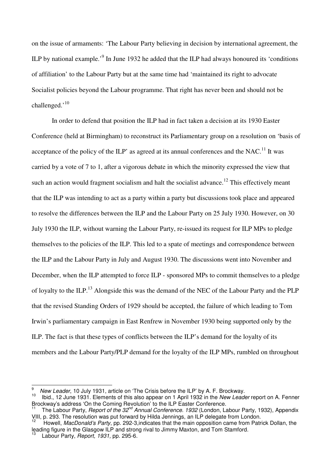on the issue of armaments: 'The Labour Party believing in decision by international agreement, the ILP by national example.<sup>9</sup> In June 1932 he added that the ILP had always honoured its 'conditions of affiliation' to the Labour Party but at the same time had 'maintained its right to advocate Socialist policies beyond the Labour programme. That right has never been and should not be challenged. $10<sup>10</sup>$ 

 In order to defend that position the ILP had in fact taken a decision at its 1930 Easter Conference (held at Birmingham) to reconstruct its Parliamentary group on a resolution on 'basis of acceptance of the policy of the ILP' as agreed at its annual conferences and the NAC.<sup>11</sup> It was carried by a vote of 7 to 1, after a vigorous debate in which the minority expressed the view that such an action would fragment socialism and halt the socialist advance.<sup>12</sup> This effectively meant that the ILP was intending to act as a party within a party but discussions took place and appeared to resolve the differences between the ILP and the Labour Party on 25 July 1930. However, on 30 July 1930 the ILP, without warning the Labour Party, re-issued its request for ILP MPs to pledge themselves to the policies of the ILP. This led to a spate of meetings and correspondence between the ILP and the Labour Party in July and August 1930. The discussions went into November and December, when the ILP attempted to force ILP - sponsored MPs to commit themselves to a pledge of loyalty to the ILP.<sup>13</sup> Alongside this was the demand of the NEC of the Labour Party and the PLP that the revised Standing Orders of 1929 should be accepted, the failure of which leading to Tom Irwin's parliamentary campaign in East Renfrew in November 1930 being supported only by the ILP. The fact is that these types of conflicts between the ILP's demand for the loyalty of its members and the Labour Party/PLP demand for the loyalty of the ILP MPs, rumbled on throughout

<sup>9&</sup>lt;br>New Leader, 10 July 1931, article on 'The Crisis before the ILP' by A. F. Brockway.

Ibid., 12 June 1931. Elements of this also appear on 1 April 1932 in the New Leader report on A. Fenner Brockway's address 'On the Coming Revolution' to the ILP Easter Conference.

The Labour Party, Report of the 32<sup>nd</sup> Annual Conference. 1932 (London, Labour Party, 1932), Appendix VIII, p. 293. The resolution was put forward by Hilda Jennings, an ILP delegate from London.

<sup>12</sup> Howell, MacDonald's Party, pp. 292-3,indicates that the main opposition came from Patrick Dollan, the leading figure in the Glasgow ILP and strong rival to Jimmy Maxton, and Tom Stamford.

Labour Party, Report, 1931, pp. 295-6.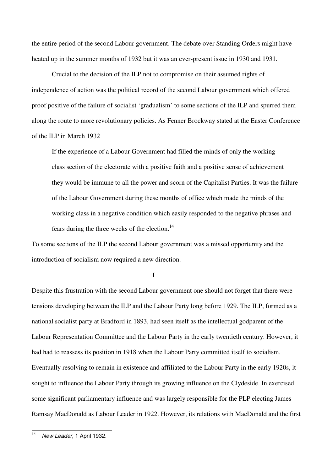the entire period of the second Labour government. The debate over Standing Orders might have heated up in the summer months of 1932 but it was an ever-present issue in 1930 and 1931.

Crucial to the decision of the ILP not to compromise on their assumed rights of independence of action was the political record of the second Labour government which offered proof positive of the failure of socialist 'gradualism' to some sections of the ILP and spurred them along the route to more revolutionary policies. As Fenner Brockway stated at the Easter Conference of the ILP in March 1932

If the experience of a Labour Government had filled the minds of only the working class section of the electorate with a positive faith and a positive sense of achievement they would be immune to all the power and scorn of the Capitalist Parties. It was the failure of the Labour Government during these months of office which made the minds of the working class in a negative condition which easily responded to the negative phrases and fears during the three weeks of the election.<sup>14</sup>

To some sections of the ILP the second Labour government was a missed opportunity and the introduction of socialism now required a new direction.

I

Despite this frustration with the second Labour government one should not forget that there were tensions developing between the ILP and the Labour Party long before 1929. The ILP, formed as a national socialist party at Bradford in 1893, had seen itself as the intellectual godparent of the Labour Representation Committee and the Labour Party in the early twentieth century. However, it had had to reassess its position in 1918 when the Labour Party committed itself to socialism. Eventually resolving to remain in existence and affiliated to the Labour Party in the early 1920s, it sought to influence the Labour Party through its growing influence on the Clydeside. In exercised some significant parliamentary influence and was largely responsible for the PLP electing James Ramsay MacDonald as Labour Leader in 1922. However, its relations with MacDonald and the first

 $\frac{1}{14}$ New Leader, 1 April 1932.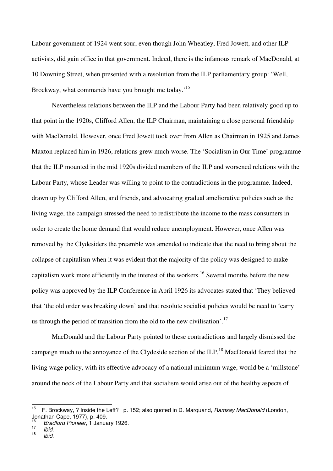Labour government of 1924 went sour, even though John Wheatley, Fred Jowett, and other ILP activists, did gain office in that government. Indeed, there is the infamous remark of MacDonald, at 10 Downing Street, when presented with a resolution from the ILP parliamentary group: 'Well, Brockway, what commands have you brought me today.<sup>'15</sup>

Nevertheless relations between the ILP and the Labour Party had been relatively good up to that point in the 1920s, Clifford Allen, the ILP Chairman, maintaining a close personal friendship with MacDonald. However, once Fred Jowett took over from Allen as Chairman in 1925 and James Maxton replaced him in 1926, relations grew much worse. The 'Socialism in Our Time' programme that the ILP mounted in the mid 1920s divided members of the ILP and worsened relations with the Labour Party, whose Leader was willing to point to the contradictions in the programme. Indeed, drawn up by Clifford Allen, and friends, and advocating gradual ameliorative policies such as the living wage, the campaign stressed the need to redistribute the income to the mass consumers in order to create the home demand that would reduce unemployment. However, once Allen was removed by the Clydesiders the preamble was amended to indicate that the need to bring about the collapse of capitalism when it was evident that the majority of the policy was designed to make capitalism work more efficiently in the interest of the workers.<sup>16</sup> Several months before the new policy was approved by the ILP Conference in April 1926 its advocates stated that 'They believed that 'the old order was breaking down' and that resolute socialist policies would be need to 'carry us through the period of transition from the old to the new civilisation'.<sup>17</sup>

MacDonald and the Labour Party pointed to these contradictions and largely dismissed the campaign much to the annoyance of the Clydeside section of the ILP.<sup>18</sup> MacDonald feared that the living wage policy, with its effective advocacy of a national minimum wage, would be a 'millstone' around the neck of the Labour Party and that socialism would arise out of the healthy aspects of

 $15$ <sup>15</sup> F. Brockway, ? Inside the Left? p. 152; also quoted in D. Marquand, Ramsay MacDonald (London, Jonathan Cape, 1977), p. 409.

<sup>16</sup> Bradford Pioneer, 1 January 1926. 17

Ibid.

<sup>18</sup> Ibid.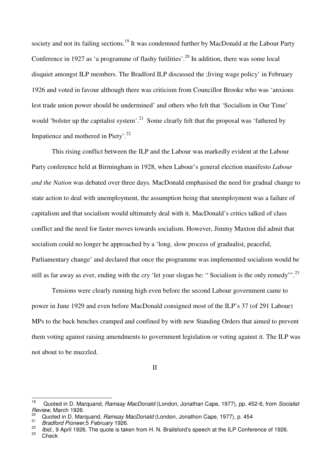society and not its failing sections.<sup>19</sup> It was condemned further by MacDonald at the Labour Party Conference in 1927 as 'a programme of flashy futilities'.<sup>20</sup> In addition, there was some local disquiet amongst ILP members. The Bradford ILP discussed the ;living wage policy' in February 1926 and voted in favour although there was criticism from Councillor Brooke who was 'anxious lest trade union power should be undermined' and others who felt that 'Socialism in Our Time' would 'bolster up the capitalist system'.<sup>21</sup> Some clearly felt that the proposal was 'fathered by Impatience and mothered in Piety'.<sup>22</sup>

This rising conflict between the ILP and the Labour was markedly evident at the Labour Party conference held at Birmingham in 1928, when Labour's general election manifesto *Labour and the Nation* was debated over three days. MacDonald emphasised the need for gradual change to state action to deal with unemployment, the assumption being that unemployment was a failure of capitalism and that socialism would ultimately deal with it. MacDonald's critics talked of class conflict and the need for faster moves towards socialism. However, Jimmy Maxton did admit that socialism could no longer be approached by a 'long, slow process of gradualist, peaceful, Parliamentary change' and declared that once the programme was implemented socialism would be still as far away as ever, ending with the cry 'let your slogan be: "Socialism is the only remedy".<sup>23</sup>

Tensions were clearly running high even before the second Labour government came to power in June 1929 and even before MacDonald consigned most of the ILP's 37 (of 291 Labour) MPs to the back benches cramped and confined by with new Standing Orders that aimed to prevent them voting against raising amendments to government legislation or voting against it. The ILP was not about to be muzzled.

II

Check

<sup>19</sup> Quoted in D. Marquand, Ramsay MacDonald (London, Jonathan Cape, 1977), pp. 452-6, from Socialist Review, March 1926.

<sup>20</sup> Quoted in D. Marquand, Ramsay MacDonald (London, Jonathon Cape, 1977), p. 454 21

Bradford Pioneer,5 February 1926. 22

 $\frac{22}{10}$  Ibid., 9 April 1926. The quote is taken from H. N. Brailsford's speech at the ILP Conference of 1926.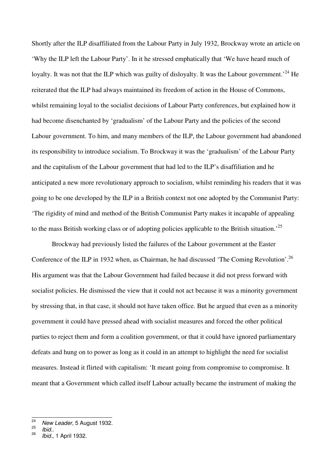Shortly after the ILP disaffiliated from the Labour Party in July 1932, Brockway wrote an article on 'Why the ILP left the Labour Party'. In it he stressed emphatically that 'We have heard much of loyalty. It was not that the ILP which was guilty of disloyalty. It was the Labour government.<sup>24</sup> He reiterated that the ILP had always maintained its freedom of action in the House of Commons, whilst remaining loyal to the socialist decisions of Labour Party conferences, but explained how it had become disenchanted by 'gradualism' of the Labour Party and the policies of the second Labour government. To him, and many members of the ILP, the Labour government had abandoned its responsibility to introduce socialism. To Brockway it was the 'gradualism' of the Labour Party and the capitalism of the Labour government that had led to the ILP's disaffiliation and he anticipated a new more revolutionary approach to socialism, whilst reminding his readers that it was going to be one developed by the ILP in a British context not one adopted by the Communist Party: 'The rigidity of mind and method of the British Communist Party makes it incapable of appealing to the mass British working class or of adopting policies applicable to the British situation.<sup>25</sup>

 Brockway had previously listed the failures of the Labour government at the Easter Conference of the ILP in 1932 when, as Chairman, he had discussed 'The Coming Revolution'.<sup>26</sup> His argument was that the Labour Government had failed because it did not press forward with socialist policies. He dismissed the view that it could not act because it was a minority government by stressing that, in that case, it should not have taken office. But he argued that even as a minority government it could have pressed ahead with socialist measures and forced the other political parties to reject them and form a coalition government, or that it could have ignored parliamentary defeats and hung on to power as long as it could in an attempt to highlight the need for socialist measures. Instead it flirted with capitalism: 'It meant going from compromise to compromise. It meant that a Government which called itself Labour actually became the instrument of making the

 $\frac{1}{24}$  New Leader, 5 August 1932. 25

Ibid.. 26

Ibid., 1 April 1932.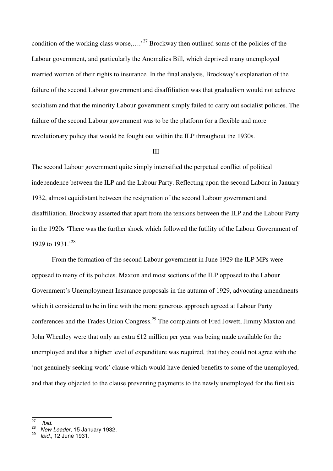condition of the working class worse,....<sup>27</sup> Brockway then outlined some of the policies of the Labour government, and particularly the Anomalies Bill, which deprived many unemployed married women of their rights to insurance. In the final analysis, Brockway's explanation of the failure of the second Labour government and disaffiliation was that gradualism would not achieve socialism and that the minority Labour government simply failed to carry out socialist policies. The failure of the second Labour government was to be the platform for a flexible and more revolutionary policy that would be fought out within the ILP throughout the 1930s.

#### III

The second Labour government quite simply intensified the perpetual conflict of political independence between the ILP and the Labour Party. Reflecting upon the second Labour in January 1932, almost equidistant between the resignation of the second Labour government and disaffiliation, Brockway asserted that apart from the tensions between the ILP and the Labour Party in the 1920s 'There was the further shock which followed the futility of the Labour Government of 1929 to 1931.<sup>28</sup>

From the formation of the second Labour government in June 1929 the ILP MPs were opposed to many of its policies. Maxton and most sections of the ILP opposed to the Labour Government's Unemployment Insurance proposals in the autumn of 1929, advocating amendments which it considered to be in line with the more generous approach agreed at Labour Party conferences and the Trades Union Congress.<sup>29</sup> The complaints of Fred Jowett, Jimmy Maxton and John Wheatley were that only an extra £12 million per year was being made available for the unemployed and that a higher level of expenditure was required, that they could not agree with the 'not genuinely seeking work' clause which would have denied benefits to some of the unemployed, and that they objected to the clause preventing payments to the newly unemployed for the first six

 $\frac{1}{27}$ Ibid.

<sup>28</sup> New Leader, 15 January 1932.

<sup>29</sup> Ibid., 12 June 1931.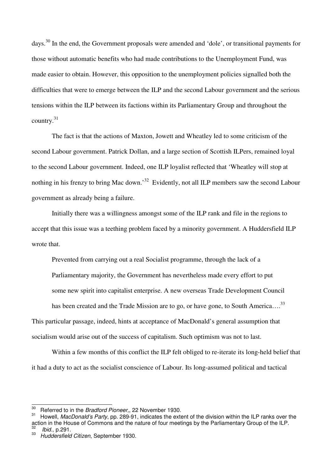days.<sup>30</sup> In the end, the Government proposals were amended and 'dole', or transitional payments for those without automatic benefits who had made contributions to the Unemployment Fund, was made easier to obtain. However, this opposition to the unemployment policies signalled both the difficulties that were to emerge between the ILP and the second Labour government and the serious tensions within the ILP between its factions within its Parliamentary Group and throughout the country.<sup>31</sup>

The fact is that the actions of Maxton, Jowett and Wheatley led to some criticism of the second Labour government. Patrick Dollan, and a large section of Scottish ILPers, remained loyal to the second Labour government. Indeed, one ILP loyalist reflected that 'Wheatley will stop at nothing in his frenzy to bring Mac down.'<sup>32</sup> Evidently, not all ILP members saw the second Labour government as already being a failure.

Initially there was a willingness amongst some of the ILP rank and file in the regions to accept that this issue was a teething problem faced by a minority government. A Huddersfield ILP wrote that.

Prevented from carrying out a real Socialist programme, through the lack of a

Parliamentary majority, the Government has nevertheless made every effort to put

some new spirit into capitalist enterprise. A new overseas Trade Development Council

has been created and the Trade Mission are to go, or have gone, to South America....<sup>33</sup>

This particular passage, indeed, hints at acceptance of MacDonald's general assumption that

socialism would arise out of the success of capitalism. Such optimism was not to last.

Within a few months of this conflict the ILP felt obliged to re-iterate its long-held belief that it had a duty to act as the socialist conscience of Labour. Its long-assumed political and tactical

<sup>30</sup> <sup>30</sup> Referred to in the *Bradford Pioneer*,, 22 November 1930.

Howell, MacDonald's Party, pp. 289-91, indicates the extent of the division within the ILP ranks over the action in the House of Commons and the nature of four meetings by the Parliamentary Group of the ILP.<br>32 I lhid in 201 Ibid., p.291.

<sup>33</sup> Huddersfield Citizen, September 1930.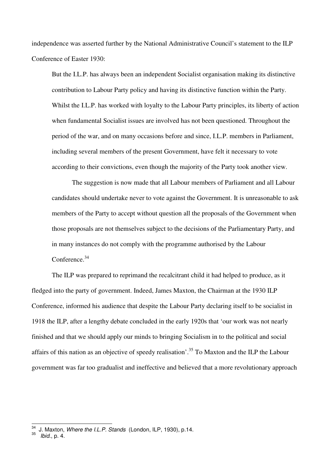independence was asserted further by the National Administrative Council's statement to the ILP Conference of Easter 1930:

 But the I.L.P. has always been an independent Socialist organisation making its distinctive contribution to Labour Party policy and having its distinctive function within the Party. Whilst the I.L.P. has worked with loyalty to the Labour Party principles, its liberty of action when fundamental Socialist issues are involved has not been questioned. Throughout the period of the war, and on many occasions before and since, I.L.P. members in Parliament, including several members of the present Government, have felt it necessary to vote according to their convictions, even though the majority of the Party took another view.

 The suggestion is now made that all Labour members of Parliament and all Labour candidates should undertake never to vote against the Government. It is unreasonable to ask members of the Party to accept without question all the proposals of the Government when those proposals are not themselves subject to the decisions of the Parliamentary Party, and in many instances do not comply with the programme authorised by the Labour Conference.<sup>34</sup>

The ILP was prepared to reprimand the recalcitrant child it had helped to produce, as it fledged into the party of government. Indeed, James Maxton, the Chairman at the 1930 ILP Conference, informed his audience that despite the Labour Party declaring itself to be socialist in 1918 the ILP, after a lengthy debate concluded in the early 1920s that 'our work was not nearly finished and that we should apply our minds to bringing Socialism in to the political and social affairs of this nation as an objective of speedy realisation'.<sup>35</sup> To Maxton and the ILP the Labour government was far too gradualist and ineffective and believed that a more revolutionary approach

 $\overline{a}$ 

J. Maxton, Where the I.L.P. Stands (London, ILP, 1930), p.14.

<sup>&</sup>lt;sup>35</sup> *Ibid.*, p. 4.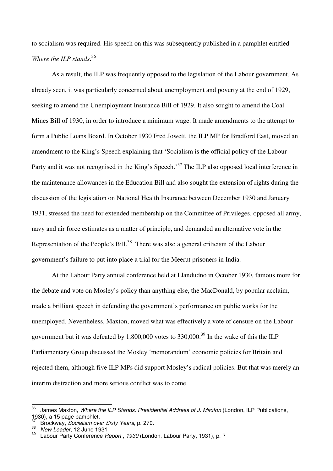to socialism was required. His speech on this was subsequently published in a pamphlet entitled *Where the ILP stands*. 36

As a result, the ILP was frequently opposed to the legislation of the Labour government. As already seen, it was particularly concerned about unemployment and poverty at the end of 1929, seeking to amend the Unemployment Insurance Bill of 1929. It also sought to amend the Coal Mines Bill of 1930, in order to introduce a minimum wage. It made amendments to the attempt to form a Public Loans Board. In October 1930 Fred Jowett, the ILP MP for Bradford East, moved an amendment to the King's Speech explaining that 'Socialism is the official policy of the Labour Party and it was not recognised in the King's Speech.<sup>37</sup> The ILP also opposed local interference in the maintenance allowances in the Education Bill and also sought the extension of rights during the discussion of the legislation on National Health Insurance between December 1930 and January 1931, stressed the need for extended membership on the Committee of Privileges, opposed all army, navy and air force estimates as a matter of principle, and demanded an alternative vote in the Representation of the People's Bill.<sup>38</sup> There was also a general criticism of the Labour government's failure to put into place a trial for the Meerut prisoners in India.

At the Labour Party annual conference held at Llandudno in October 1930, famous more for the debate and vote on Mosley's policy than anything else, the MacDonald, by popular acclaim, made a brilliant speech in defending the government's performance on public works for the unemployed. Nevertheless, Maxton, moved what was effectively a vote of censure on the Labour government but it was defeated by  $1,800,000$  votes to  $330,000$ .<sup>39</sup> In the wake of this the ILP Parliamentary Group discussed the Mosley 'memorandum' economic policies for Britain and rejected them, although five ILP MPs did support Mosley's radical policies. But that was merely an interim distraction and more serious conflict was to come.

<sup>36</sup> James Maxton, Where the ILP Stands: Presidential Address of J. Maxton (London, ILP Publications, 1930), a 15 page pamphlet.

Brockway, Socialism over Sixty Years, p. 270. 38

 $\frac{38}{39}$  New Leader, 12 June 1931

Labour Party Conference Report, 1930 (London, Labour Party, 1931), p. ?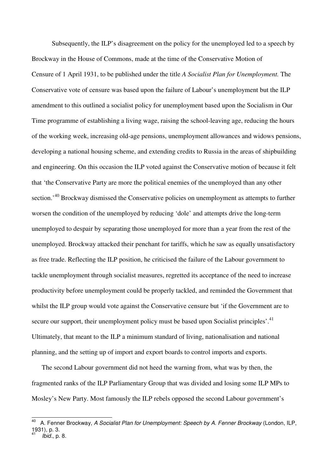Subsequently, the ILP's disagreement on the policy for the unemployed led to a speech by Brockway in the House of Commons, made at the time of the Conservative Motion of Censure of 1 April 1931, to be published under the title *A Socialist Plan for Unemployment.* The Conservative vote of censure was based upon the failure of Labour's unemployment but the ILP amendment to this outlined a socialist policy for unemployment based upon the Socialism in Our Time programme of establishing a living wage, raising the school-leaving age, reducing the hours of the working week, increasing old-age pensions, unemployment allowances and widows pensions, developing a national housing scheme, and extending credits to Russia in the areas of shipbuilding and engineering. On this occasion the ILP voted against the Conservative motion of because it felt that 'the Conservative Party are more the political enemies of the unemployed than any other section.'<sup>40</sup> Brockway dismissed the Conservative policies on unemployment as attempts to further worsen the condition of the unemployed by reducing 'dole' and attempts drive the long-term unemployed to despair by separating those unemployed for more than a year from the rest of the unemployed. Brockway attacked their penchant for tariffs, which he saw as equally unsatisfactory as free trade. Reflecting the ILP position, he criticised the failure of the Labour government to tackle unemployment through socialist measures, regretted its acceptance of the need to increase productivity before unemployment could be properly tackled, and reminded the Government that whilst the ILP group would vote against the Conservative censure but 'if the Government are to secure our support, their unemployment policy must be based upon Socialist principles'.<sup>41</sup> Ultimately, that meant to the ILP a minimum standard of living, nationalisation and national planning, and the setting up of import and export boards to control imports and exports.

The second Labour government did not heed the warning from, what was by then, the fragmented ranks of the ILP Parliamentary Group that was divided and losing some ILP MPs to Mosley's New Party. Most famously the ILP rebels opposed the second Labour government's

 $\overline{\phantom{a}}$ 

A. Fenner Brockway, A Socialist Plan for Unemployment: Speech by A. Fenner Brockway (London, ILP, 1931), p. 3.

<sup>41</sup> Ibid., p. 8.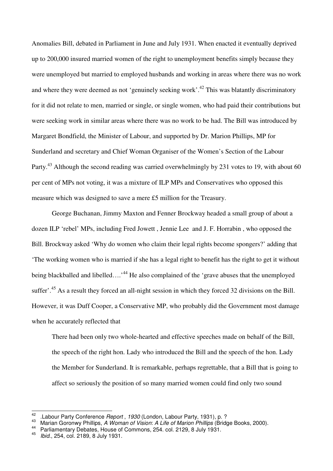Anomalies Bill, debated in Parliament in June and July 1931. When enacted it eventually deprived up to 200,000 insured married women of the right to unemployment benefits simply because they were unemployed but married to employed husbands and working in areas where there was no work and where they were deemed as not 'genuinely seeking work'.<sup>42</sup> This was blatantly discriminatory for it did not relate to men, married or single, or single women, who had paid their contributions but were seeking work in similar areas where there was no work to be had. The Bill was introduced by Margaret Bondfield, the Minister of Labour, and supported by Dr. Marion Phillips, MP for Sunderland and secretary and Chief Woman Organiser of the Women's Section of the Labour Party.<sup>43</sup> Although the second reading was carried overwhelmingly by 231 votes to 19, with about 60 per cent of MPs not voting, it was a mixture of ILP MPs and Conservatives who opposed this measure which was designed to save a mere £5 million for the Treasury.

George Buchanan, Jimmy Maxton and Fenner Brockway headed a small group of about a dozen ILP 'rebel' MPs, including Fred Jowett , Jennie Lee and J. F. Horrabin , who opposed the Bill. Brockway asked 'Why do women who claim their legal rights become spongers?' adding that 'The working women who is married if she has a legal right to benefit has the right to get it without being blackballed and libelled….<sup>44</sup> He also complained of the 'grave abuses that the unemployed suffer<sup>'.45</sup> As a result they forced an all-night session in which they forced 32 divisions on the Bill. However, it was Duff Cooper, a Conservative MP, who probably did the Government most damage when he accurately reflected that

There had been only two whole-hearted and effective speeches made on behalf of the Bill, the speech of the right hon. Lady who introduced the Bill and the speech of the hon. Lady the Member for Sunderland. It is remarkable, perhaps regrettable, that a Bill that is going to affect so seriously the position of so many married women could find only two sound

 $42<sup>°</sup>$ <sup>42</sup> .Labour Party Conference Report , 1930 (London, Labour Party, 1931), p. ?

<sup>&</sup>lt;sup>43</sup> Marian Goronwy Phillips, A Woman of Vision: A Life of Marion Phillips (Bridge Books, 2000).

Parliamentary Debates, House of Commons, 254. col. 2129, 8 July 1931.

<sup>45</sup> Ibid., 254, col. 2189, 8 July 1931.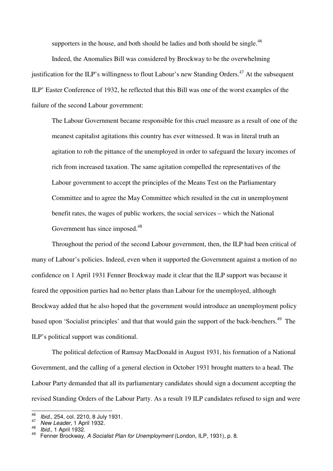supporters in the house, and both should be ladies and both should be single. $^{46}$ 

Indeed, the Anomalies Bill was considered by Brockway to be the overwhelming justification for the ILP's willingness to flout Labour's new Standing Orders.<sup>47</sup> At the subsequent ILP' Easter Conference of 1932, he reflected that this Bill was one of the worst examples of the failure of the second Labour government:

The Labour Government became responsible for this cruel measure as a result of one of the meanest capitalist agitations this country has ever witnessed. It was in literal truth an agitation to rob the pittance of the unemployed in order to safeguard the luxury incomes of rich from increased taxation. The same agitation compelled the representatives of the Labour government to accept the principles of the Means Test on the Parliamentary Committee and to agree the May Committee which resulted in the cut in unemployment benefit rates, the wages of public workers, the social services – which the National Government has since imposed.<sup>48</sup>

Throughout the period of the second Labour government, then, the ILP had been critical of many of Labour's policies. Indeed, even when it supported the Government against a motion of no confidence on 1 April 1931 Fenner Brockway made it clear that the ILP support was because it feared the opposition parties had no better plans than Labour for the unemployed, although Brockway added that he also hoped that the government would introduce an unemployment policy based upon 'Socialist principles' and that that would gain the support of the back-benchers.<sup>49</sup> The ILP's political support was conditional.

 The political defection of Ramsay MacDonald in August 1931, his formation of a National Government, and the calling of a general election in October 1931 brought matters to a head. The Labour Party demanded that all its parliamentary candidates should sign a document accepting the revised Standing Orders of the Labour Party. As a result 19 ILP candidates refused to sign and were

<sup>—&</sup>lt;br>46 Ibid., 254, col. 2210, 8 July 1931. 47

New Leader, 1 April 1932. 48

 $\frac{48}{49}$  *Ibid.*, 1 April 1932.

Fenner Brockway, A Socialist Plan for Unemployment (London, ILP, 1931), p. 8.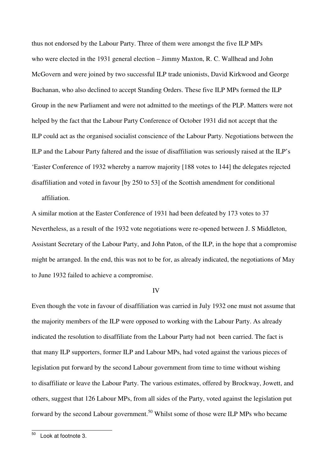thus not endorsed by the Labour Party. Three of them were amongst the five ILP MPs who were elected in the 1931 general election – Jimmy Maxton, R. C. Wallhead and John McGovern and were joined by two successful ILP trade unionists, David Kirkwood and George Buchanan, who also declined to accept Standing Orders. These five ILP MPs formed the ILP Group in the new Parliament and were not admitted to the meetings of the PLP. Matters were not helped by the fact that the Labour Party Conference of October 1931 did not accept that the ILP could act as the organised socialist conscience of the Labour Party. Negotiations between the ILP and the Labour Party faltered and the issue of disaffiliation was seriously raised at the ILP's 'Easter Conference of 1932 whereby a narrow majority [188 votes to 144] the delegates rejected disaffiliation and voted in favour [by 250 to 53] of the Scottish amendment for conditional affiliation.

A similar motion at the Easter Conference of 1931 had been defeated by 173 votes to 37 Nevertheless, as a result of the 1932 vote negotiations were re-opened between J. S Middleton, Assistant Secretary of the Labour Party, and John Paton, of the ILP, in the hope that a compromise might be arranged. In the end, this was not to be for, as already indicated, the negotiations of May to June 1932 failed to achieve a compromise.

### IV

Even though the vote in favour of disaffiliation was carried in July 1932 one must not assume that the majority members of the ILP were opposed to working with the Labour Party. As already indicated the resolution to disaffiliate from the Labour Party had not been carried. The fact is that many ILP supporters, former ILP and Labour MPs, had voted against the various pieces of legislation put forward by the second Labour government from time to time without wishing to disaffiliate or leave the Labour Party. The various estimates, offered by Brockway, Jowett, and others, suggest that 126 Labour MPs, from all sides of the Party, voted against the legislation put forward by the second Labour government.<sup>50</sup> Whilst some of those were ILP MPs who became

<sup>50</sup> Look at footnote 3.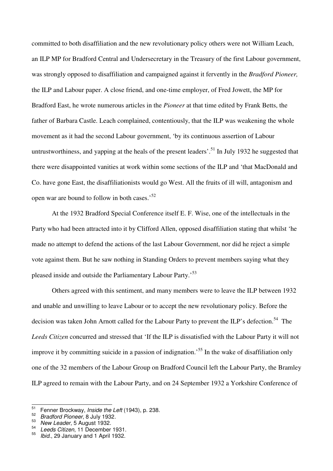committed to both disaffiliation and the new revolutionary policy others were not William Leach, an ILP MP for Bradford Central and Undersecretary in the Treasury of the first Labour government, was strongly opposed to disaffiliation and campaigned against it fervently in the *Bradford Pioneer,* the ILP and Labour paper. A close friend, and one-time employer, of Fred Jowett, the MP for Bradford East, he wrote numerous articles in the *Pioneer* at that time edited by Frank Betts, the father of Barbara Castle. Leach complained, contentiously, that the ILP was weakening the whole movement as it had the second Labour government, 'by its continuous assertion of Labour untrustworthiness, and yapping at the heals of the present leaders'.<sup>51</sup> In July 1932 he suggested that there were disappointed vanities at work within some sections of the ILP and 'that MacDonald and Co. have gone East, the disaffiliationists would go West. All the fruits of ill will, antagonism and open war are bound to follow in both cases.'<sup>52</sup>

 At the 1932 Bradford Special Conference itself E. F. Wise, one of the intellectuals in the Party who had been attracted into it by Clifford Allen, opposed disaffiliation stating that whilst 'he made no attempt to defend the actions of the last Labour Government, nor did he reject a simple vote against them. But he saw nothing in Standing Orders to prevent members saying what they pleased inside and outside the Parliamentary Labour Party.<sup>53</sup>

 Others agreed with this sentiment, and many members were to leave the ILP between 1932 and unable and unwilling to leave Labour or to accept the new revolutionary policy. Before the decision was taken John Arnott called for the Labour Party to prevent the ILP's defection.<sup>54</sup> The *Leeds Citizen* concurred and stressed that 'If the ILP is dissatisfied with the Labour Party it will not improve it by committing suicide in a passion of indignation.<sup>55</sup> In the wake of disaffiliation only one of the 32 members of the Labour Group on Bradford Council left the Labour Party, the Bramley ILP agreed to remain with the Labour Party, and on 24 September 1932 a Yorkshire Conference of

54 Leeds Citizen, 11 December 1931. 55

 $51$ Fenner Brockway, Inside the Left (1943), p. 238.

<sup>52</sup> Bradford Pioneer, 8 July 1932.

 $53$  New Leader, 5 August 1932.

Ibid., 29 January and 1 April 1932.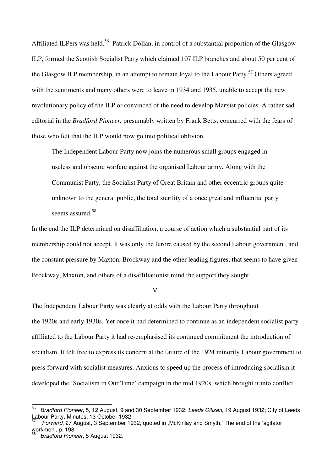Affiliated ILPers was held.<sup>56</sup> Patrick Dollan, in control of a substantial proportion of the Glasgow ILP, formed the Scottish Socialist Party which claimed 107 ILP branches and about 50 per cent of the Glasgow ILP membership, in an attempt to remain loyal to the Labour Party.<sup>57</sup> Others agreed with the sentiments and many others were to leave in 1934 and 1935, unable to accept the new revolutionary policy of the ILP or convinced of the need to develop Marxist policies. A rather sad editorial in the *Bradford Pioneer,* presumably written by Frank Betts. concurred with the fears of those who felt that the ILP would now go into political oblivion.

 The Independent Labour Party now joins the numerous small groups engaged in useless and obscure warfare against the organised Labour army**.** Along with the Communist Party, the Socialist Party of Great Britain and other eccentric groups quite unknown to the general public, the total sterility of a once great and influential party seems assured.<sup>58</sup>

In the end the ILP determined on disaffiliation, a course of action which a substantial part of its membership could not accept. It was only the furore caused by the second Labour government, and the constant pressure by Maxton, Brockway and the other leading figures, that seems to have given Brockway, Maxton, and others of a disaffiliationist mind the support they sought.

V

The Independent Labour Party was clearly at odds with the Labour Party throughout the 1920s and early 1930s. Yet once it had determined to continue as an independent socialist party affiliated to the Labour Party it had re-emphasised its continued commitment the introduction of socialism. It felt free to express its concern at the failure of the 1924 minority Labour government to press forward with socialist measures. Anxious to speed up the process of introducing socialism it developed the 'Socialism in Our Time' campaign in the mid 1920s, which brought it into conflict

<sup>—&</sup>lt;br>56 Bradford Pioneer, 5, 12 August, 9 and 30 September 1932; Leeds Citizen, 19 August 1932; City of Leeds Labour Party, Minutes, 13 October 1932. 57

Forward, 27 August, 3 September 1932, quoted in ,McKinlay and Smyth,' The end of the 'agitator workmen', p. 198.<br><sup>58</sup> *Prodford Pione* 

Bradford Pioneer, 5 August 1932.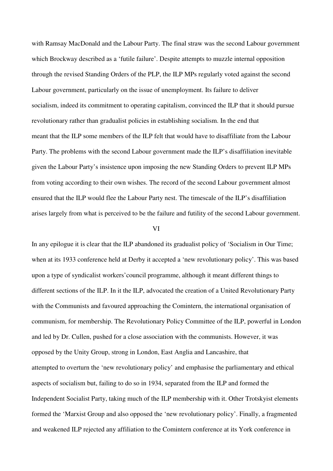with Ramsay MacDonald and the Labour Party. The final straw was the second Labour government which Brockway described as a 'futile failure'. Despite attempts to muzzle internal opposition through the revised Standing Orders of the PLP, the ILP MPs regularly voted against the second Labour government, particularly on the issue of unemployment. Its failure to deliver socialism, indeed its commitment to operating capitalism, convinced the ILP that it should pursue revolutionary rather than gradualist policies in establishing socialism. In the end that meant that the ILP some members of the ILP felt that would have to disaffiliate from the Labour Party. The problems with the second Labour government made the ILP's disaffiliation inevitable given the Labour Party's insistence upon imposing the new Standing Orders to prevent ILP MPs from voting according to their own wishes. The record of the second Labour government almost ensured that the ILP would flee the Labour Party nest. The timescale of the ILP's disaffiliation arises largely from what is perceived to be the failure and futility of the second Labour government.

#### VI

In any epilogue it is clear that the ILP abandoned its gradualist policy of 'Socialism in Our Time; when at its 1933 conference held at Derby it accepted a 'new revolutionary policy'. This was based upon a type of syndicalist workers'council programme, although it meant different things to different sections of the ILP. In it the ILP, advocated the creation of a United Revolutionary Party with the Communists and favoured approaching the Comintern, the international organisation of communism, for membership. The Revolutionary Policy Committee of the ILP, powerful in London and led by Dr. Cullen, pushed for a close association with the communists. However, it was opposed by the Unity Group, strong in London, East Anglia and Lancashire, that attempted to overturn the 'new revolutionary policy' and emphasise the parliamentary and ethical aspects of socialism but, failing to do so in 1934, separated from the ILP and formed the Independent Socialist Party, taking much of the ILP membership with it. Other Trotskyist elements formed the 'Marxist Group and also opposed the 'new revolutionary policy'. Finally, a fragmented and weakened ILP rejected any affiliation to the Comintern conference at its York conference in